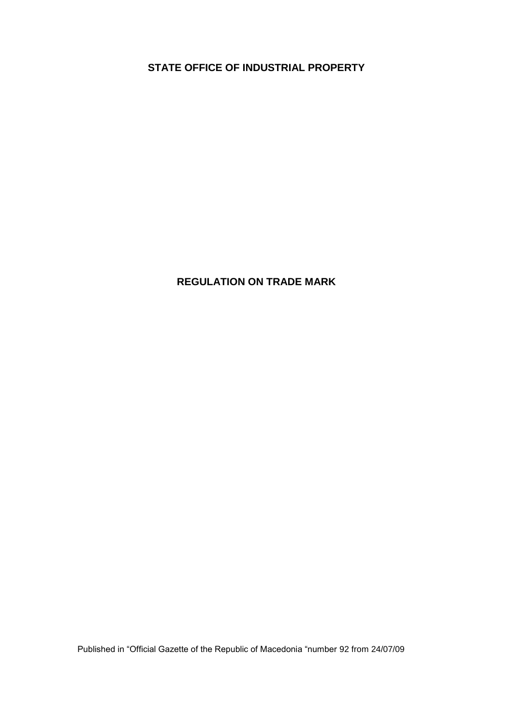**STATE OFFICE OF INDUSTRIAL PROPERTY**

# **REGULATION ON TRADE MARK**

Published in "Official Gazette of the Republic of Macedonia "number 92 from 24/07/09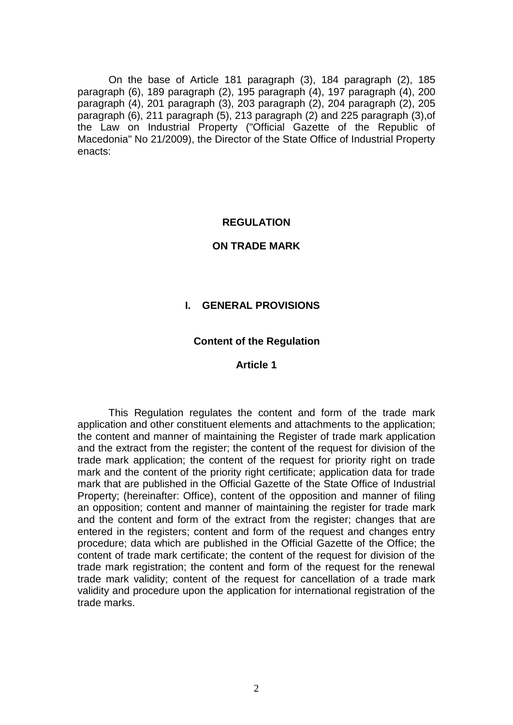On the base of Article 181 paragraph (3), 184 paragraph (2), 185 paragraph (6), 189 paragraph (2), 195 paragraph (4), 197 paragraph (4), 200 paragraph (4), 201 paragraph (3), 203 paragraph (2), 204 paragraph (2), 205 paragraph (6), 211 paragraph (5), 213 paragraph (2) and 225 paragraph (3),of the Law on Industrial Property ("Official Gazette of the Republic of Macedonia" No 21/2009), the Director of the State Office of Industrial Property enacts:

### **REGULATION**

#### **ON TRADE MARK**

### **I. GENERAL PROVISIONS**

#### **Content of the Regulation**

#### **Article 1**

This Regulation regulates the content and form of the trade mark application and other constituent elements and attachments to the application; the content and manner of maintaining the Register of trade mark application and the extract from the register; the content of the request for division of the trade mark application; the content of the request for priority right on trade mark and the content of the priority right certificate; application data for trade mark that are published in the Official Gazette of the State Office of Industrial Property; (hereinafter: Office), content of the opposition and manner of filing an opposition; content and manner of maintaining the register for trade mark and the content and form of the extract from the register; changes that are entered in the registers; content and form of the request and changes entry procedure; data which are published in the Official Gazette of the Office; the content of trade mark certificate; the content of the request for division of the trade mark registration; the content and form of the request for the renewal trade mark validity; content of the request for cancellation of a trade mark validity and procedure upon the application for international registration of the trade marks.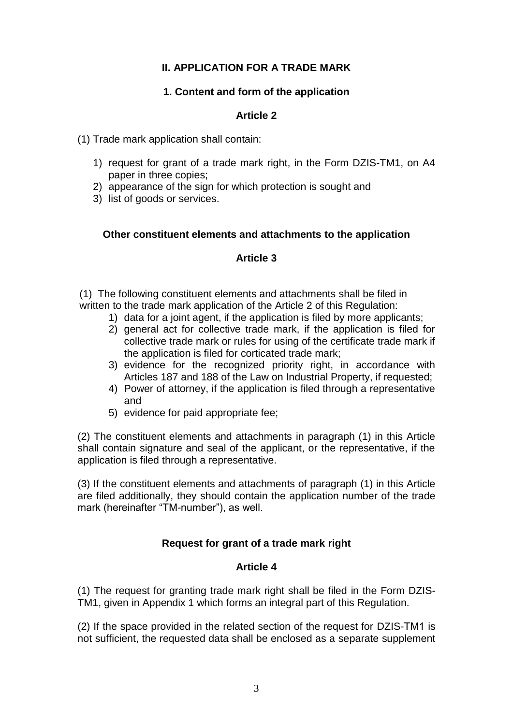# **II. APPLICATION FOR A TRADE MARK**

### **1. Content and form of the application**

## **Article 2**

(1) Trade mark application shall contain:

- 1) request for grant of a trade mark right, in the Form DZIS-TM1, on A4 paper in three copies;
- 2) appearance of the sign for which protection is sought and
- 3) list of goods or services.

### **Other constituent elements and attachments to the application**

### **Article 3**

(1) The following constituent elements and attachments shall be filed in written to the trade mark application of the Article 2 of this Regulation:

- 1) data for a joint agent, if the application is filed by more applicants;
- 2) general act for collective trade mark, if the application is filed for collective trade mark or rules for using of the certificate trade mark if the application is filed for corticated trade mark;
- 3) evidence for the recognized priority right, in accordance with Articles 187 and 188 of the Law on Industrial Property, if requested;
- 4) Power of attorney, if the application is filed through a representative and
- 5) evidence for paid appropriate fee;

(2) The constituent elements and attachments in paragraph (1) in this Article shall contain signature and seal of the applicant, or the representative, if the application is filed through a representative.

(3) If the constituent elements and attachments of paragraph (1) in this Article are filed additionally, they should contain the application number of the trade mark (hereinafter "TM-number"), as well.

## **Request for grant of a trade mark right**

### **Article 4**

(1) The request for granting trade mark right shall be filed in the Form DZIS-TM1, given in Appendix 1 which forms an integral part of this Regulation*.*

(2) If the space provided in the related section of the request for DZIS-ТМ1 is not sufficient, the requested data shall be enclosed as a separate supplement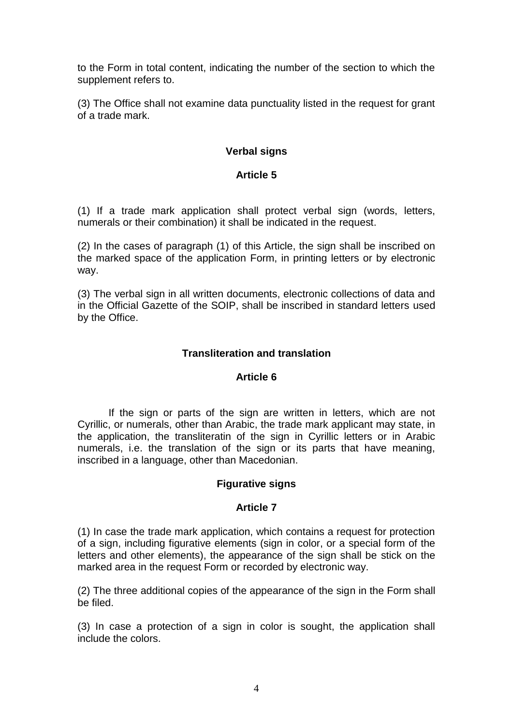to the Form in total content, indicating the number of the section to which the supplement refers to.

(3) The Office shall not examine data punctuality listed in the request for grant of a trade mark.

# **Verbal signs**

# **Article 5**

(1) If a trade mark application shall protect verbal sign (words, letters, numerals or their combination) it shall be indicated in the request.

(2) In the cases of paragraph (1) of this Article, the sign shall be inscribed on the marked space of the application Form, in printing letters or by electronic way.

(3) The verbal sign in all written documents, electronic collections of data and in the Official Gazette of the SOIP, shall be inscribed in standard letters used by the Office.

## **Transliteration and translation**

## **Article 6**

If the sign or parts of the sign are written in letters, which are not Cyrillic, or numerals, other than Arabic, the trade mark applicant may state, in the application, the transliteratin of the sign in Cyrillic letters or in Arabic numerals, i.e. the translation of the sign or its parts that have meaning, inscribed in a language, other than Macedonian.

## **Figurative signs**

## **Article 7**

(1) In case the trade mark application, which contains a request for protection of a sign, including figurative elements (sign in color, or a special form of the letters and other elements), the appearance of the sign shall be stick on the marked area in the request Form or recorded by electronic way.

(2) The three additional copies of the appearance of the sign in the Form shall be filed.

(3) In case a protection of a sign in color is sought, the application shall include the colors.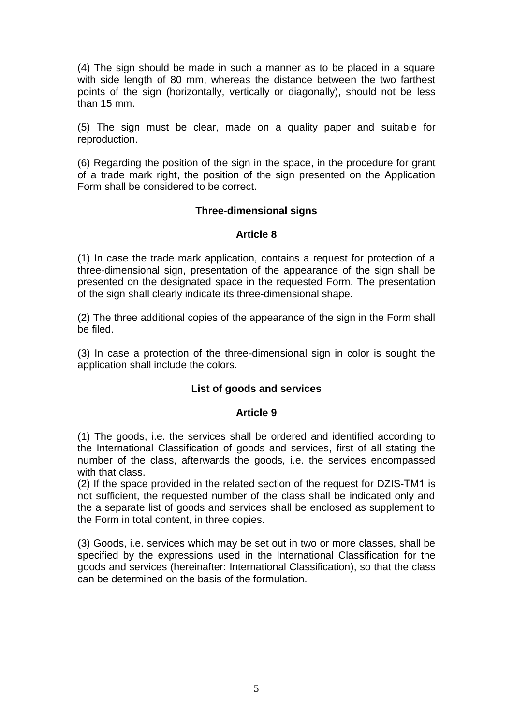(4) The sign should be made in such a manner as to be placed in a square with side length of 80 mm, whereas the distance between the two farthest points of the sign (horizontally, vertically or diagonally), should not be less than 15 mm.

(5) The sign must be clear, made on a quality paper and suitable for reproduction.

(6) Regarding the position of the sign in the space, in the procedure for grant of a trade mark right, the position of the sign presented on the Application Form shall be considered to be correct.

## **Three-dimensional signs**

### **Article 8**

(1) In case the trade mark application, contains a request for protection of a three-dimensional sign, presentation of the appearance of the sign shall be presented on the designated space in the requested Form. The presentation of the sign shall clearly indicate its three-dimensional shape.

(2) The three additional copies of the appearance of the sign in the Form shall be filed.

(3) In case a protection of the three-dimensional sign in color is sought the application shall include the colors.

## **List of goods and services**

## **Article 9**

(1) The goods, i.e. the services shall be ordered and identified according to the International Classification of goods and services, first of all stating the number of the class, afterwards the goods, i.e. the services encompassed with that class.

(2) If the space provided in the related section of the request for DZIS-ТМ1 is not sufficient, the requested number of the class shall be indicated only and the a separate list of goods and services shall be enclosed as supplement to the Form in total content, in three copies.

(3) Goods, i.e. services which may be set out in two or more classes, shall be specified by the expressions used in the International Classification for the goods and services (hereinafter: International Classification), so that the class can be determined on the basis of the formulation.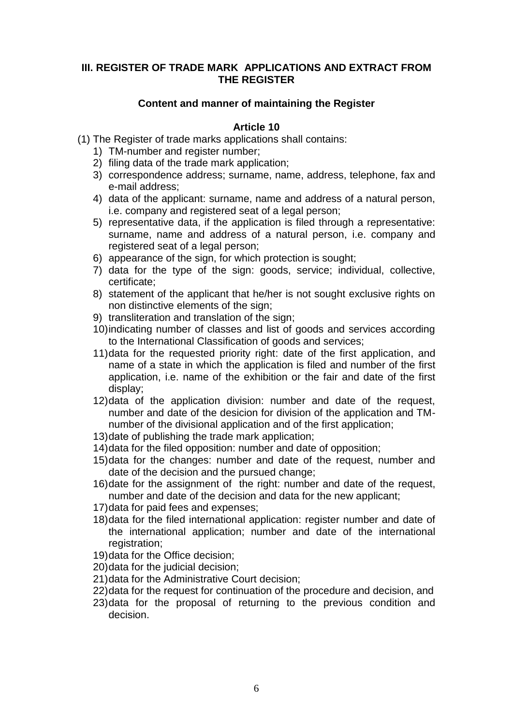### **III. REGISTER OF TRADE MARK APPLICATIONS AND EXTRACT FROM THE REGISTER**

## **Content and manner of maintaining the Register**

- (1) The Register of trade marks applications shall contains:
	- 1) TM-number and register number;
	- 2) filing data of the trade mark application;
	- 3) correspondence address; surname, name, address, telephone, fax and e-mail address;
	- 4) data of the applicant: surname, name and address of a natural person, i.e. company and registered seat of a legal person;
	- 5) representative data, if the application is filed through a representative: surname, name and address of a natural person, i.e. company and registered seat of a legal person;
	- 6) appearance of the sign, for which protection is sought;
	- 7) data for the type of the sign: goods, service; individual, collective, certificate;
	- 8) statement of the applicant that he/her is not sought exclusive rights on non distinctive elements of the sign;
	- 9) transliteration and translation of the sign;
	- 10)indicating number of classes and list of goods and services according to the International Classification of goods and services;
	- 11)data for the requested priority right: date of the first application, and name of a state in which the application is filed and number of the first application, i.e. name of the exhibition or the fair and date of the first display;
	- 12)data of the application division: number and date of the request, number and date of the desicion for division of the application and TMnumber of the divisional application and of the first application;
	- 13)datе of publishing the trade mark application;
	- 14)data for the filed opposition: number and date of opposition;
	- 15)data for the changes: number and date of the request, number and date of the decision and the pursued change;
	- 16)date for the assignment of the right: number and date of the request, number and date of the decision and data for the new applicant;
	- 17)data for paid fees and expenses;
	- 18)data for the filed international application: register number and date of the international application; number and date of the international registration:
	- 19)data for the Office decision;
	- 20)data for the judicial decision;
	- 21)data for the Administrative Court decision;
	- 22)data for the request for continuation of the procedure and decision, and
	- 23)data for the proposal of returning to the previous condition and decision.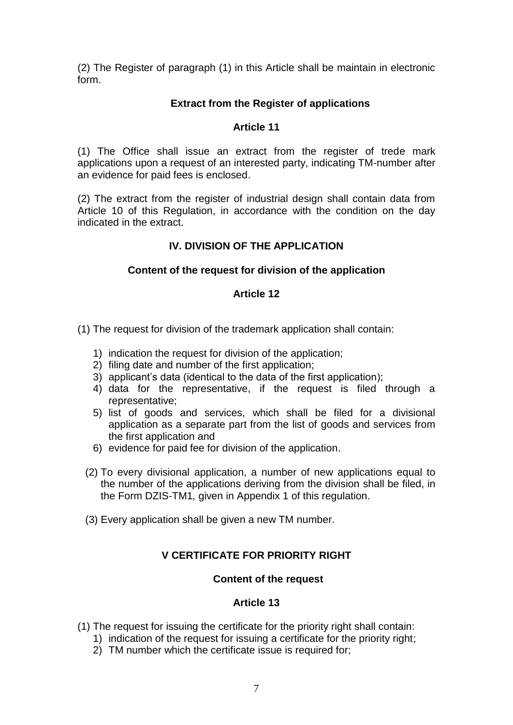(2) The Register of paragraph (1) in this Article shall be maintain in electronic form.

# **Extract from the Register of applications**

## **Article 11**

(1) The Office shall issue an extract from the register of trede mark applications upon a request of an interested party, indicating TM-number after an evidence for paid fees is enclosed.

(2) The extract from the register of industrial design shall contain data from Article 10 of this Regulation, in accordance with the condition on the day indicated in the extract.

# **IV. DIVISION OF THE APPLICATION**

# **Content of the request for division of the application**

## **Article 12**

(1) The request for division of the trademark application shall contain:

- 1) indication the request for division of the application;
- 2) filing date and number of the first application;
- 3) applicant's data (identical to the data of the first application);
- 4) data for the representative, if the request is filed through a representative;
- 5) list of goods and services, which shall be filed for a divisional application as a separate part from the list of goods and services from the first application and
- 6) evidence for paid fee for division of the application.
- (2) To every divisional application, a number of new applications equal to the number of the applications deriving from the division shall be filed, in the Form DZIS-TM1*,* given in Appendix 1 of this regulation.
- (3) Every application shall be given a new TM number.

# **V CERTIFICATE FOR PRIORITY RIGHT**

## **Content of the request**

- (1) The request for issuing the certificate for the priority right shall contain:
	- 1) indication of the request for issuing a certificate for the priority right;
	- 2) TM number which the certificate issue is required for;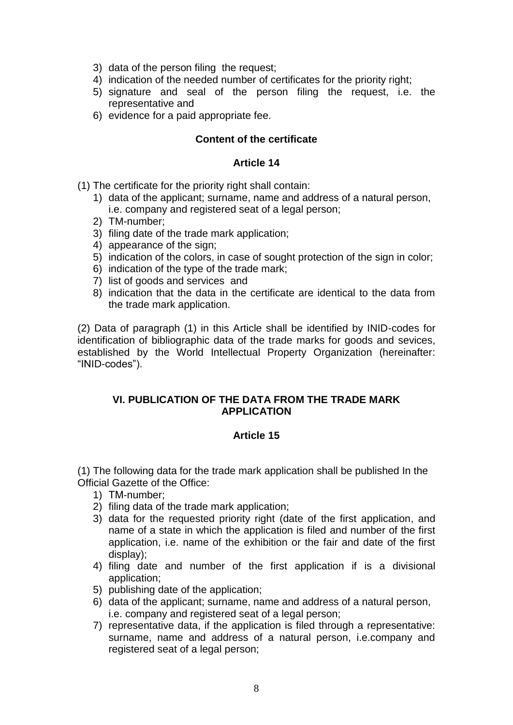- 3) data of the person filing the request;
- 4) indication of the needed number of certificates for the priority right;
- 5) signature and seal of the person filing the request, i.e. the representative and
- 6) evidence for a paid appropriate fee.

## **Content of the certificate**

### **Article 14**

- (1) The certificate for the priority right shall contain:
	- 1) data of the applicant; surname, name and address of a natural person, i.e. company and registered seat of a legal person;
	- 2) TM-number;
	- 3) filing date of the trade mark application;
	- 4) appearance of the sign;
	- 5) indication of the colors, in case of sought protection of the sign in color;
	- 6) indication of the type of the trade mark;
	- 7) list of goods and services and
	- 8) indication that the data in the certificate are identical to the data from the trade mark application.

(2) Data of paragraph (1) in this Article shall be identified by INID-codes for identification of bibliographic data of the trade marks for goods and sevices, established by the World Intellectual Property Organization (hereinafter: "INID-codes").

## **VI. PUBLICATION OF THE DATA FROM THE TRADE MARK APPLICATION**

## **Article 15**

(1) The following data for the trade mark application shall be published In the Official Gazette of the Office:

- 1) ТМ-number;
- 2) filing data of the trade mark application;
- 3) data for the requested priority right (date of the first application, and name of a state in which the application is filed and number of the first application, i.e. name of the exhibition or the fair and date of the first display);
- 4) filing date and number of the first application if is a divisional application;
- 5) publishing date of the application;
- 6) data of the applicant; surname, name and address of a natural person, i.e. company and registered seat of a legal person;
- 7) representative data, if the application is filed through a representative: surname, name and address of a natural person, i.e.company and registered seat of a legal person: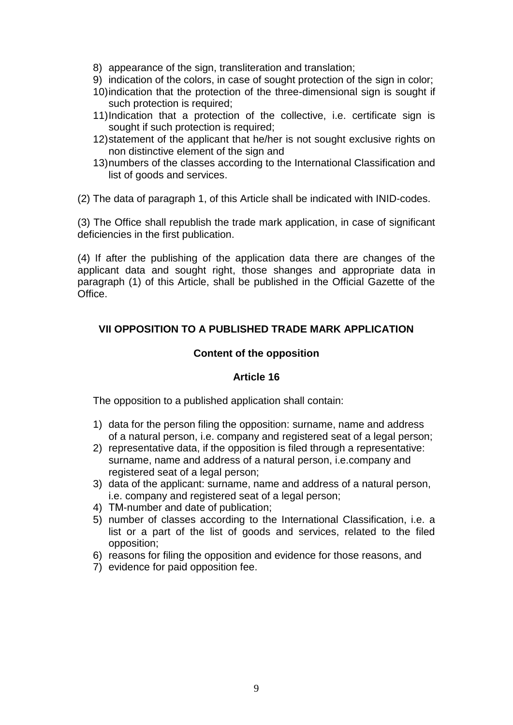- 8) appearance of the sign, transliteration and translation;
- 9) indication of the colors, in case of sought protection of the sign in color;
- 10)indication that the protection of the three-dimensional sign is sought if such protection is required;
- 11)Indication that a protection of the collective, i.e. certificate sign is sought if such protection is required;
- 12)statement of the applicant that he/her is not sought exclusive rights on non distinctive element of the sign and
- 13)numbers of the classes according to the International Classification and list of goods and services.

(2) The data of paragraph 1, of this Article shall be indicated with INID-codes.

(3) The Office shall republish the trade mark application, in case of significant deficiencies in the first publication.

(4) If after the publishing of the application data there are changes of the applicant data and sought right, those shanges and appropriate data in paragraph (1) of this Article, shall be published in the Official Gazette of the Office.

# **VII OPPOSITION TO A PUBLISHED TRADE MARK APPLICATION**

## **Content of the opposition**

## **Article 16**

The opposition to a published application shall contain:

- 1) data for the person filing the opposition: surname, name and address of a natural person, i.e. company and registered seat of a legal person;
- 2) representative data, if the opposition is filed through a representative: surname, name and address of a natural person, i.e.company and registered seat of a legal person;
- 3) data of the applicant: surname, name and address of a natural person, i.e. company and registered seat of a legal person;
- 4) ТМ-number and date of publication;
- 5) number of classes according to the International Classification, i.e. a list or a part of the list of goods and services, related to the filed opposition;
- 6) reasons for filing the opposition and evidence for those reasons, and
- 7) evidence for paid opposition fee.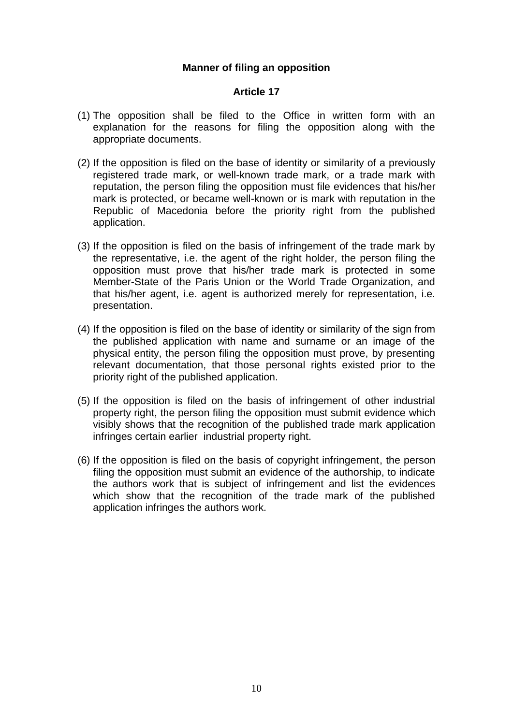## **Manner of filing an opposition**

- (1) The opposition shall be filed to the Office in written form with an explanation for the reasons for filing the opposition along with the appropriate documents.
- (2) If the opposition is filed on the base of identity or similarity of a previously registered trade mark, or well-known trade mark, or a trade mark with reputation, the person filing the opposition must file evidences that his/her mark is protected, or became well-known or is mark with reputation in the Republic of Macedonia before the priority right from the published application.
- (3) If the opposition is filed on the basis of infringement of the trade mark by the representative, i.e. the agent of the right holder, the person filing the opposition must prove that his/her trade mark is protected in some Member-State of the Paris Union or the World Trade Organization, and that his/her agent, i.e. agent is authorized merely for representation, i.e. presentation.
- (4) If the opposition is filed on the base of identity or similarity of the sign from the published application with name and surname or an image of the physical entity, the person filing the opposition must prove, by presenting relevant documentation, that those personal rights existed prior to the priority right of the published application.
- (5) If the opposition is filed on the basis of infringement of other industrial property right, the person filing the opposition must submit evidence which visibly shows that the recognition of the published trade mark application infringes certain earlier industrial property right.
- (6) If the opposition is filed on the basis of copyright infringement, the person filing the opposition must submit an evidence of the authorship, to indicate the authors work that is subject of infringement and list the evidences which show that the recognition of the trade mark of the published application infringes the authors work.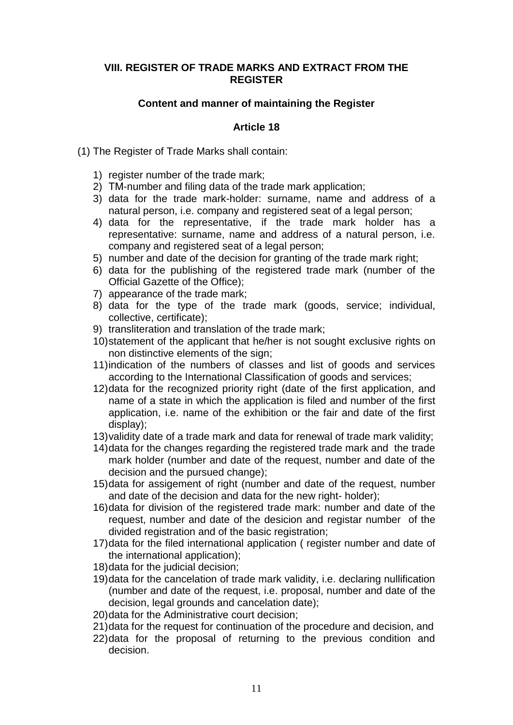### **VIII. REGISTER OF TRADE MARKS AND EXTRACT FROM THE REGISTER**

## **Content and manner of maintaining the Register**

## **Article 18**

(1) The Register of Trade Marks shall contain:

- 1) register number of the trade mark;
- 2) ТМ-number and filing data of the trade mark application;
- 3) data for the trade mark-holder: surname, name and address of a natural person, i.e. company and registered seat of a legal person;
- 4) data for the representative, if the trade mark holder has a representative: surname, name and address of a natural person, i.e. company and registered seat of a legal person;
- 5) number and date of the decision for granting of the trade mark right;
- 6) data for the publishing of the registered trade mark (number of the Official Gazette of the Office);
- 7) appearance of the trade mark;
- 8) data for the type of the trade mark (goods, service; individual, collective, certificate);
- 9) transliteration and translation of the trade mark;
- 10)statement of the applicant that he/her is not sought exclusive rights on non distinctive elements of the sign;
- 11)indication of the numbers of classes and list of goods and services according to the International Classification of goods and services;
- 12)data for the recognized priority right (date of the first application, and name of a state in which the application is filed and number of the first application, i.e. name of the exhibition or the fair and date of the first display);
- 13)validity date of a trade mark and data for renewal of trade mark validity;
- 14)data for the changes regarding the registered trade mark and the trade mark holder (number and date of the request, number and date of the decision and the pursued change);
- 15)data for assigement of right (number and date of the request, number and date of the decision and data for the new right- holder);
- 16)data for division of the registered trade mark: number and date of the request, number and date of the desicion and registar number of the divided registration and of the basic registration;
- 17)data for the filed international application ( register number and date of the international application);
- 18)data for the judicial decision;
- 19)data for the cancelation of trade mark validity, i.e. declaring nullification (number and date of the request, i.e. proposal, number and date of the decision, legal grounds and cancelation date);
- 20)data for the Administrative court decision;
- 21)data for the request for continuation of the procedure and decision, and
- 22)data for the proposal of returning to the previous condition and decision.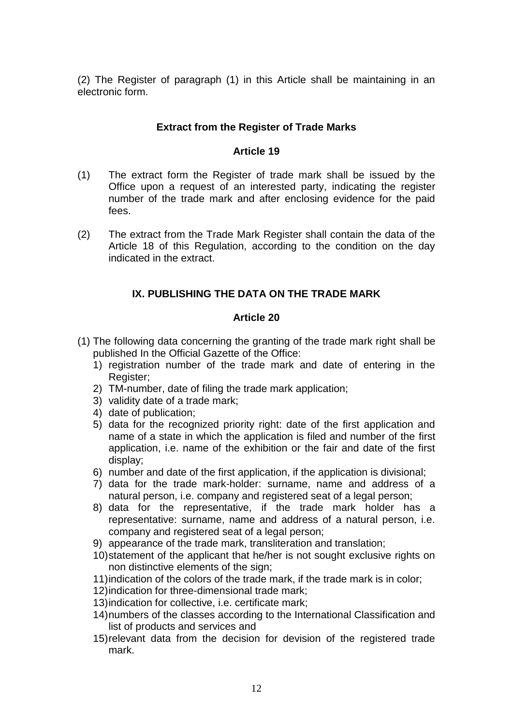(2) The Register of paragraph (1) in this Article shall be maintaining in an electronic form.

# **Extract from the Register of Trade Marks**

## **Article 19**

- (1) The extract form the Register of trade mark shall be issued by the Office upon a request of an interested party, indicating the register number of the trade mark and after enclosing evidence for the paid fees.
- (2) The extract from the Trade Mark Register shall contain the data of the Article 18 of this Regulation, according to the condition on the day indicated in the extract.

# **IX. PUBLISHING THE DATA ON THE TRADE MARK**

- (1) The following data concerning the granting of the trade mark right shall be published In the Official Gazette of the Office:
	- 1) registration number of the trade mark and date of entering in the Register;
	- 2) TM-number, date of filing the trade mark application;
	- 3) validity date of a trade mark;
	- 4) date of publication;
	- 5) data for the recognized priority right: date of the first application and name of a state in which the application is filed and number of the first application, i.e. name of the exhibition or the fair and date of the first display;
	- 6) number and date of the first application, if the application is divisional;
	- 7) data for the trade mark-holder: surname, name and address of a natural person, i.e. company and registered seat of a legal person;
	- 8) data for the representative, if the trade mark holder has a representative: surname, name and address of a natural person, i.e. company and registered seat of a legal person;
	- 9) appearance of the trade mark, transliteration and translation;
	- 10)statement of the applicant that he/her is not sought exclusive rights on non distinctive elements of the sign;
	- 11)indication of the colors of the trade mark, if the trade mark is in color;
	- 12)indication for three-dimensional trade mark;
	- 13)indication for collective, i.e. certificate mark;
	- 14)numbers of the classes according to the International Classification and list of products and services and
	- 15)relevant data from the decision for devision of the registered trade mark.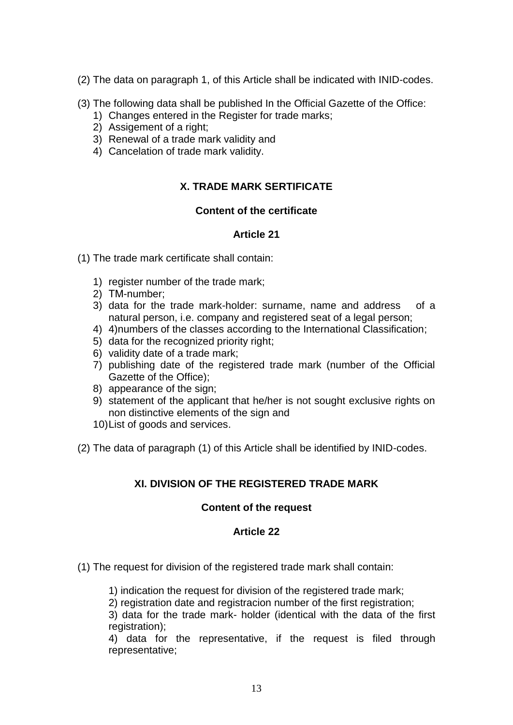- (2) The data on paragraph 1, of this Article shall be indicated with INID-codes.
- (3) The following data shall be published In the Official Gazette of the Office:
	- 1) Changes entered in the Register for trade marks;
	- 2) Assigement of a right;
	- 3) Renewal of a trade mark validity and
	- 4) Cancelation of trade mark validity.

# **X. TRADE MARK SERTIFICATE**

# **Content of the certificate**

# **Article 21**

- (1) The trade mark certificate shall contain:
	- 1) register number of the trade mark;
	- 2) ТМ-number;
	- 3) data for the trade mark-holder: surname, name and address of a natural person, i.e. company and registered seat of a legal person;
	- 4) 4) numbers of the classes according to the International Classification;
	- 5) data for the recognized priority right;
	- 6) validity date of a trade mark;
	- 7) publishing date of the registered trade mark (number of the Official Gazette of the Office);
	- 8) appearance of the sign;
	- 9) statement of the applicant that he/her is not sought exclusive rights on non distinctive elements of the sign and
	- 10)List of goods and services.
- (2) The data of paragraph (1) of this Article shall be identified by INID-codes.

# **XI. DIVISION OF THE REGISTERED TRADE MARK**

## **Content of the request**

## **Article 22**

- (1) The request for division of the registered trade mark shall contain:
	- 1) indication the request for division of the registered trade mark;
	- 2) registration date and registracion number of the first registration;

3) data for the trade mark- holder (identical with the data of the first registration);

4) data for the representative, if the request is filed through representative;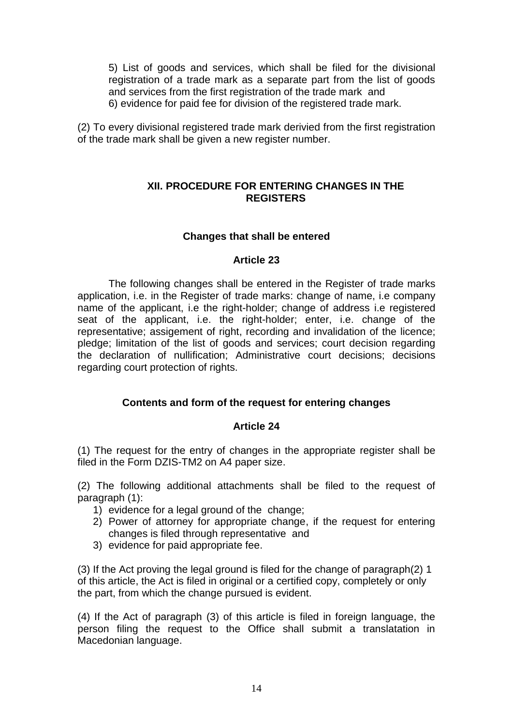5) List of goods and services, which shall be filed for the divisional registration of a trade mark as a separate part from the list of goods and services from the first registration of the trade mark and 6) evidence for paid fee for division of the registered trade mark.

(2) To every divisional registered trade mark derivied from the first registration of the trade mark shall be given a new register number.

### **XII. PROCEDURE FOR ENTERING CHANGES IN THE REGISTERS**

## **Changes that shall be entered**

### **Article 23**

The following changes shall be entered in the Register of trade marks application, i.e. in the Register of trade marks: change of name, i.e company name of the applicant, i.e the right-holder; change of address i.e registered seat of the applicant, i.e. the right-holder; enter, i.e. change of the representative; assigement of right, recording and invalidation of the licence; pledge; limitation of the list of goods and services; court decision regarding the declaration of nullification; Administrative court decisions; decisions regarding court protection of rights.

## **Contents and form of the request for entering changes**

### **Article 24**

(1) The request for the entry of changes in the appropriate register shall be filed in the Form DZIS-TM2 on A4 paper size.

(2) The following additional attachments shall be filed to the request of paragraph (1):

- 1) evidence for a legal ground of the change;
- 2) Power of attorney for appropriate change, if the request for entering changes is filed through representative and
- 3) evidence for paid appropriate fee.

(3) If the Act proving the legal ground is filed for the change of paragraph(2) 1 of this article, the Act is filed in original or a certified copy, completely or only the part, from which the change pursued is evident.

(4) If the Act of paragraph (3) of this article is filed in foreign language, the person filing the request to the Office shall submit a translatation in Macedonian language.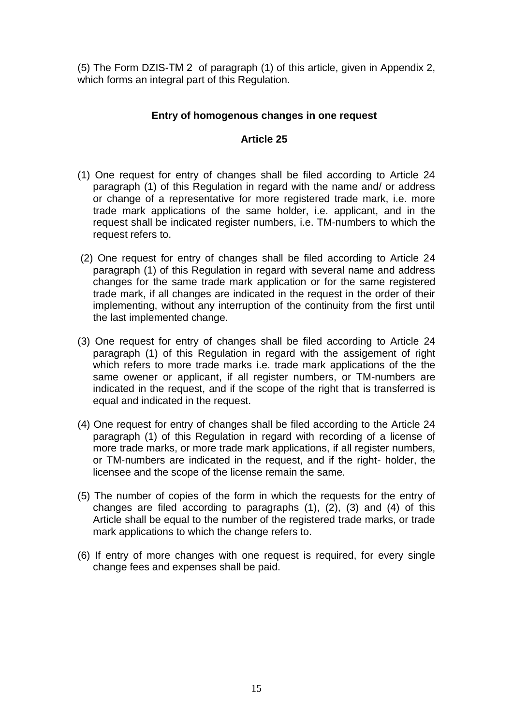(5) The Form DZIS-ТМ 2 of paragraph (1) of this article, given in Appendix 2, which forms an integral part of this Regulation.

# **Entry of homogenous changes in one request**

- (1) One request for entry of changes shall be filed according to Article 24 paragraph (1) of this Regulation in regard with the name and/ or address or change of a representative for more registered trade mark, i.e. more trade mark applications of the same holder, i.e. applicant, and in the request shall be indicated register numbers, i.e. TM-numbers to which the request refers to.
- (2) One request for entry of changes shall be filed according to Article 24 paragraph (1) of this Regulation in regard with several name and address changes for the same trade mark application or for the same registered trade mark, if all changes are indicated in the request in the order of their implementing, without any interruption of the continuity from the first until the last implemented change.
- (3) One request for entry of changes shall be filed according to Article 24 paragraph (1) of this Regulation in regard with the assigement of right which refers to more trade marks i.e. trade mark applications of the the same owener or applicant, if all register numbers, or TM-numbers are indicated in the request, and if the scope of the right that is transferred is equal and indicated in the request.
- (4) One request for entry of changes shall be filed according to the Article 24 paragraph (1) of this Regulation in regard with recording of a license of more trade marks, or more trade mark applications, if all register numbers, or TM-numbers are indicated in the request, and if the right- holder, the licensee and the scope of the license remain the same.
- (5) The number of copies of the form in which the requests for the entry of changes are filed according to paragraphs (1), (2), (3) and (4) of this Article shall be equal to the number of the registered trade marks, or trade mark applications to which the change refers to.
- (6) If entry of more changes with one request is required, for every single change fees and expenses shall be paid.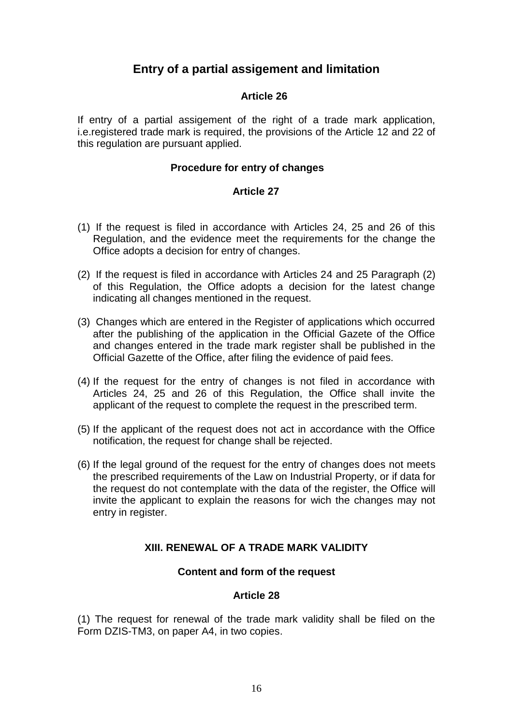# **Entry of a partial assigement and limitation**

## **Article 26**

If entry of a partial assigement of the right of a trade mark application, i.e.registered trade mark is required, the provisions of the Article 12 and 22 of this regulation are pursuant applied.

### **Procedure for entry of changes**

### **Article 27**

- (1) If the request is filed in accordance with Articles 24, 25 and 26 of this Regulation, and the evidence meet the requirements for the change the Office adopts a decision for entry of changes.
- (2) If the request is filed in accordance with Articles 24 and 25 Paragraph (2) of this Regulation, the Office adopts a decision for the latest change indicating all changes mentioned in the request.
- (3) Changes which are entered in the Register of applications which occurred after the publishing of the application in the Official Gazete of the Office and changes entered in the trade mark register shall be published in the Official Gazette of the Office, after filing the evidence of paid fees.
- (4) If the request for the entry of changes is not filed in accordance with Articles 24, 25 and 26 of this Regulation, the Office shall invite the applicant of the request to complete the request in the prescribed term.
- (5) If the applicant of the request does not act in accordance with the Office notification, the request for change shall be rejected.
- (6) If the legal ground of the request for the entry of changes does not meets the prescribed requirements of the Law on Industrial Property, or if data for the request do not contemplate with the data of the register, the Office will invite the applicant to explain the reasons for wich the changes may not entry in register.

## **XIII. RENEWAL OF A TRADE MARK VALIDITY**

### **Content and form of the request**

### **Article 28**

(1) The request for renewal of the trade mark validity shall be filed on the Form DZIS-TM3, on paper A4, in two copies.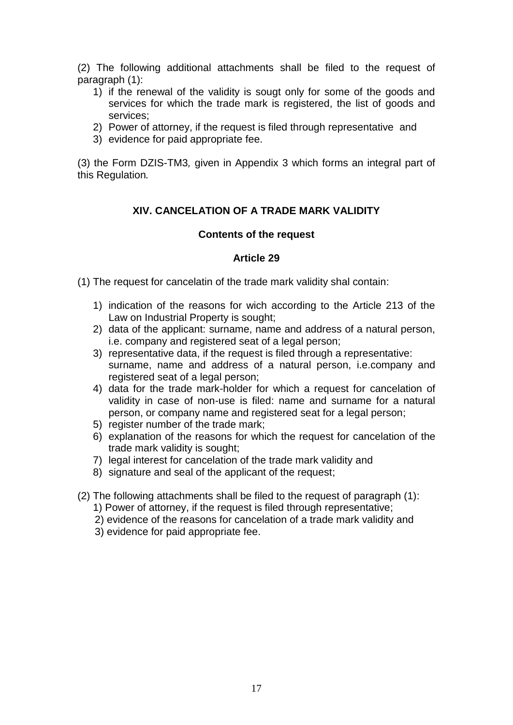(2) The following additional attachments shall be filed to the request of paragraph (1):

- 1) if the renewal of the validity is sougt only for some of the goods and services for which the trade mark is registered, the list of goods and services;
- 2) Power of attorney, if the request is filed through representative and
- 3) evidence for paid appropriate fee.

(3) the Form DZIS-TM3*,* given in Appendix 3 which forms an integral part of this Regulation*.*

# **XIV. CANCELATION OF A TRADE MARK VALIDITY**

### **Contents of the request**

- (1) The request for cancelatin of the trade mark validity shal contain:
	- 1) indication of the reasons for wich according to the Article 213 of the Law on Industrial Property is sought;
	- 2) data of the applicant: surname, name and address of a natural person, i.e. company and registered seat of a legal person;
	- 3) representative data, if the request is filed through a representative: surname, name and address of a natural person, i.e.company and registered seat of a legal person;
	- 4) data for the trade mark-holder for which a request for cancelation of validity in case of non-use is filed: name and surname for a natural person, or company name and registered seat for a legal person;
	- 5) register number of the trade mark;
	- 6) explanation of the reasons for which the request for cancelation of the trade mark validity is sought;
	- 7) legal interest for cancelation of the trade mark validity and
	- 8) signature and seal of the applicant of the request;
- (2) The following attachments shall be filed to the request of paragraph (1):
	- 1) Power of attorney, if the request is filed through representative;
	- 2) evidence of the reasons for cancelation of a trade mark validity and
	- 3) evidence for paid appropriate fee.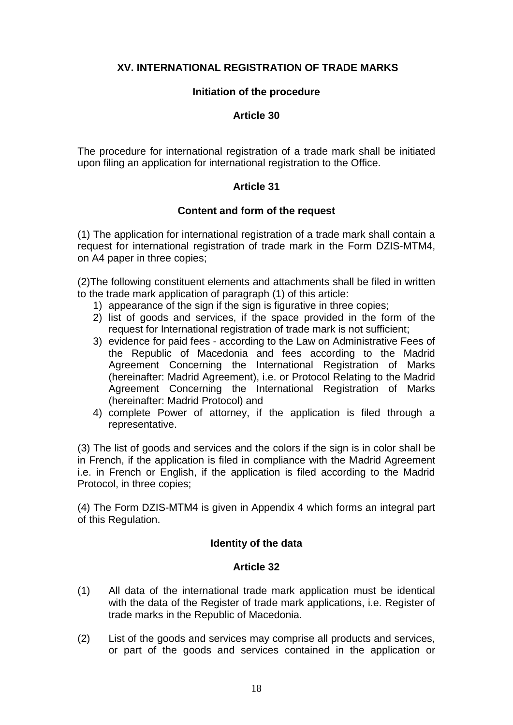# **XV. INTERNATIONAL REGISTRATION OF TRADE MARKS**

### **Initiation of the procedure**

### **Article 30**

The procedure for international registration of a trade mark shall be initiated upon filing an application for international registration to the Office.

# **Article 31**

## **Content and form of the request**

(1) The application for international registration of a trade mark shall contain a request for international registration of trade mark in the Form DZIS-MTM4, on A4 paper in three copies;

(2)The following constituent elements and attachments shall be filed in written to the trade mark application of paragraph (1) of this article:

- 1) appearance of the sign if the sign is figurative in three copies;
- 2) list of goods and services, if the space provided in the form of the request for International registration of trade mark is not sufficient;
- 3) evidence for paid fees according to the Law on Administrative Fees of the Republic of Macedonia and fees according to the Madrid Agreement Concerning the International Registration of Marks (hereinafter: Madrid Agreement), i.e. or Protocol Relating to the Madrid Agreement Concerning the International Registration of Marks (hereinafter: Madrid Protocol) and
- 4) complete Power of attorney, if the application is filed through a representative.

(3) The list of goods and services and the colors if the sign is in color shall be in French, if the application is filed in compliance with the Madrid Agreement i.e. in French or English, if the application is filed according to the Madrid Protocol, in three copies;

(4) The Form DZIS-МТМ4 is given in Appendix 4 which forms an integral part of this Regulation.

## **Identity of the data**

- (1) All data of the international trade mark application must be identical with the data of the Register of trade mark applications, i.e. Register of trade marks in the Republic of Macedonia.
- (2) List of the goods and services may comprise all products and services, or part of the goods and services contained in the application or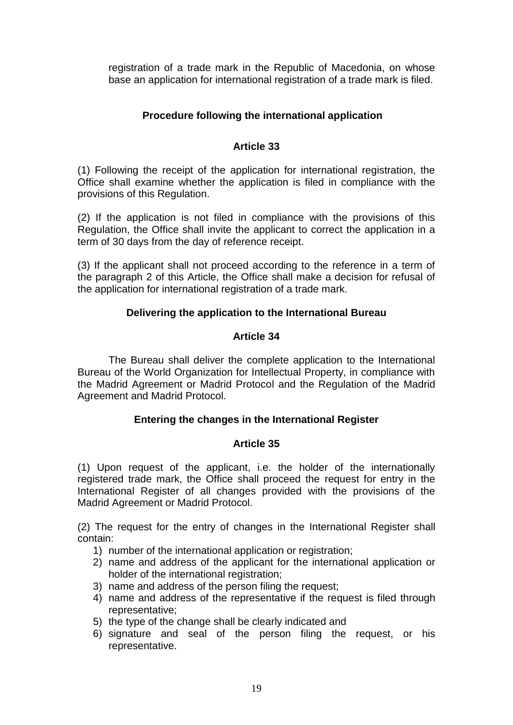registration of a trade mark in the Republic of Macedonia, on whose base an application for international registration of a trade mark is filed.

# **Procedure following the international application**

# **Article 33**

(1) Following the receipt of the application for international registration, the Office shall examine whether the application is filed in compliance with the provisions of this Regulation.

(2) If the application is not filed in compliance with the provisions of this Regulation, the Office shall invite the applicant to correct the application in a term of 30 days from the day of reference receipt.

(3) If the applicant shall not proceed according to the reference in a term of the paragraph 2 of this Article, the Office shall make a decision for refusal of the application for international registration of a trade mark.

# **Delivering the application to the International Bureau**

## **Article 34**

The Bureau shall deliver the complete application to the International Bureau of the World Organization for Intellectual Property, in compliance with the Madrid Agreement or Madrid Protocol and the Regulation of the Madrid Agreement and Madrid Protocol.

## **Entering the changes in the International Register**

## **Article 35**

(1) Upon request of the applicant, i.e. the holder of the internationally registered trade mark, the Office shall proceed the request for entry in the International Register of all changes provided with the provisions of the Madrid Agreement or Madrid Protocol.

(2) The request for the entry of changes in the International Register shall contain:

- 1) number of the international application or registration;
- 2) name and address of the applicant for the international application or holder of the international registration;
- 3) name and address of the person filing the request;
- 4) name and address of the representative if the request is filed through representative;
- 5) the type of the change shall be clearly indicated and
- 6) signature and seal of the person filing the request, or his representative.